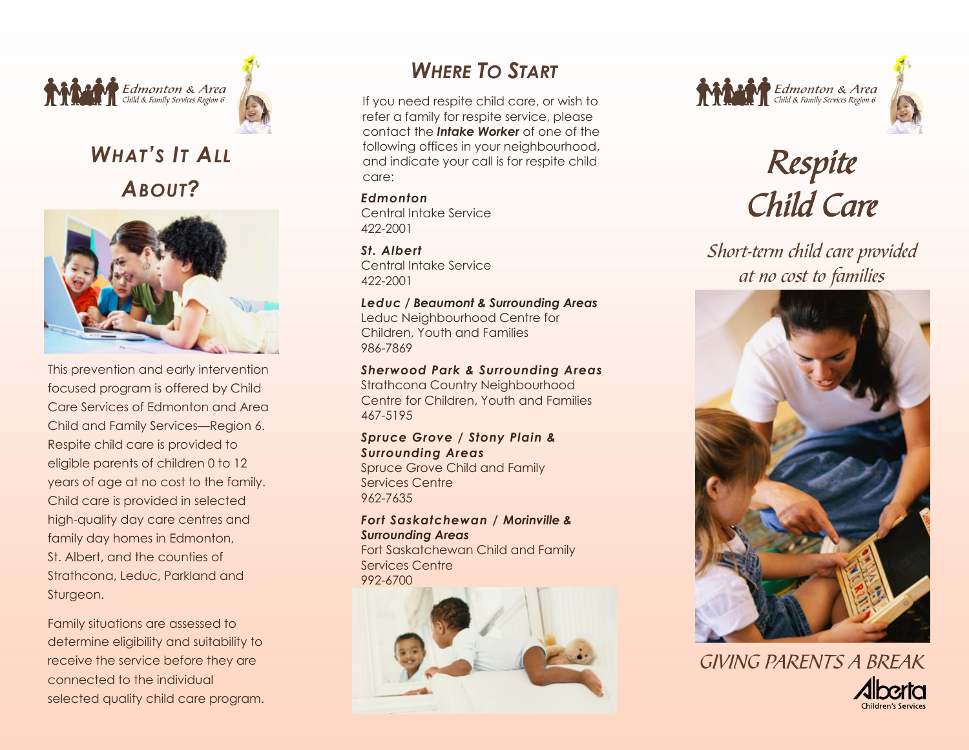



# *WHAT'S IT ALLABOUT?*



This prevention and early intervention focused program is offered by Child Care Services of Edmonton and Area Child and Family Services—Region 6. Respite child care is provided to eligible parents of children 0 to 12 years of age at no cost to the family. Child care is provided in selected high-quality day care centres and family day homes in Edmonton, St. Albert, and the counties of Strathcona, Leduc, Parkland and Sturgeon.

Family situations are assessed to determine eligibility and suitability to receive the service before they are connected to the individual selected quality child care program.

## *WHERE TO START*

If you need respite child care, or wish to refer a family for respite service, please contact the *Intake Worker* of one of the following offices in your neighbourhood, and indicate your call is for respite child care:

*Edmonton*Central Intake Service 422-2001

*St. Albert*Central Intake Service 422-2001

#### *Leduc / Beaumont & Surrounding Areas*

Leduc Neighbourhood Centre for Children, Youth and Families 986-7869

### *Sherwood Park & Surrounding Areas*

Strathcona Country Neighbourhood Centre for Children, Youth and Families 467-5195

## *Spruce Grove / Stony Plain & Surrounding Areas*

Spruce Grove Child and Family Services Centre 962-7635

## *Fort Saskatchewan / Morinville & Surrounding Areas*

Fort Saskatchewan Child and Family Services Centre 992-6700







# Respite Child Care

Short-term child care provided at no cost to families



GIVING PARENTS A BREAK